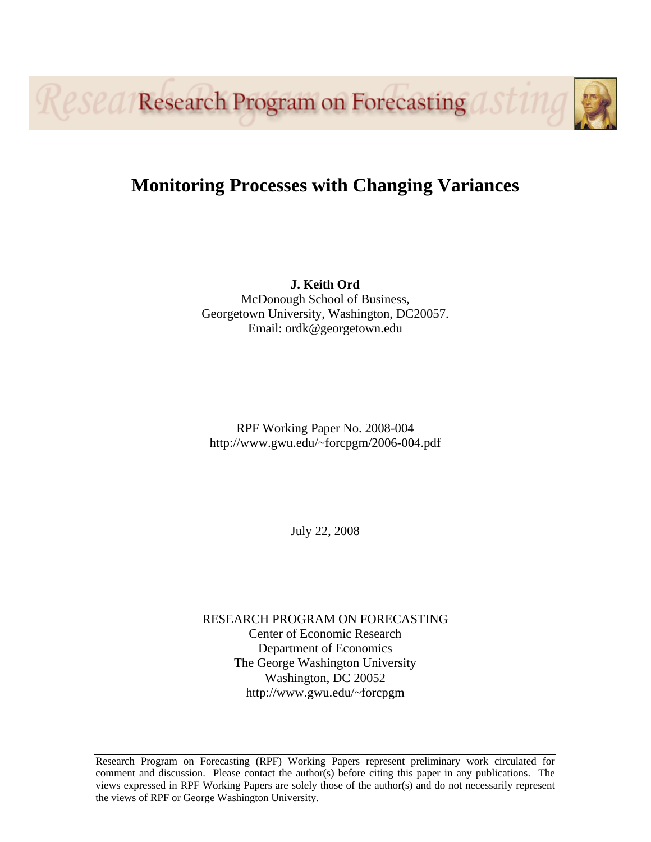Resea Research Program on Forecasting 1

# **Monitoring Processes with Changing Variances**

**J. Keith Ord**  McDonough School of Business, Georgetown University, Washington, DC20057. Email: ordk@georgetown.edu

RPF Working Paper No. 2008-004 http://www.gwu.edu/~forcpgm/2006-004.pdf

July 22, 2008

RESEARCH PROGRAM ON FORECASTING Center of Economic Research Department of Economics The George Washington University Washington, DC 20052 http://www.gwu.edu/~forcpgm

Research Program on Forecasting (RPF) Working Papers represent preliminary work circulated for comment and discussion. Please contact the author(s) before citing this paper in any publications. The views expressed in RPF Working Papers are solely those of the author(s) and do not necessarily represent the views of RPF or George Washington University.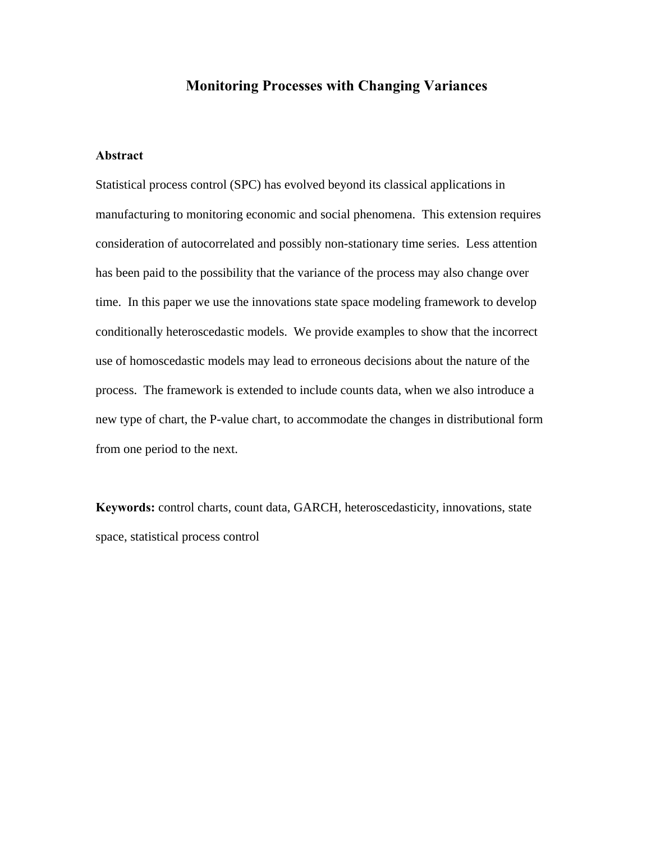# **Monitoring Processes with Changing Variances**

#### **Abstract**

Statistical process control (SPC) has evolved beyond its classical applications in manufacturing to monitoring economic and social phenomena. This extension requires consideration of autocorrelated and possibly non-stationary time series. Less attention has been paid to the possibility that the variance of the process may also change over time. In this paper we use the innovations state space modeling framework to develop conditionally heteroscedastic models. We provide examples to show that the incorrect use of homoscedastic models may lead to erroneous decisions about the nature of the process. The framework is extended to include counts data, when we also introduce a new type of chart, the P-value chart, to accommodate the changes in distributional form from one period to the next.

**Keywords:** control charts, count data, GARCH, heteroscedasticity, innovations, state space, statistical process control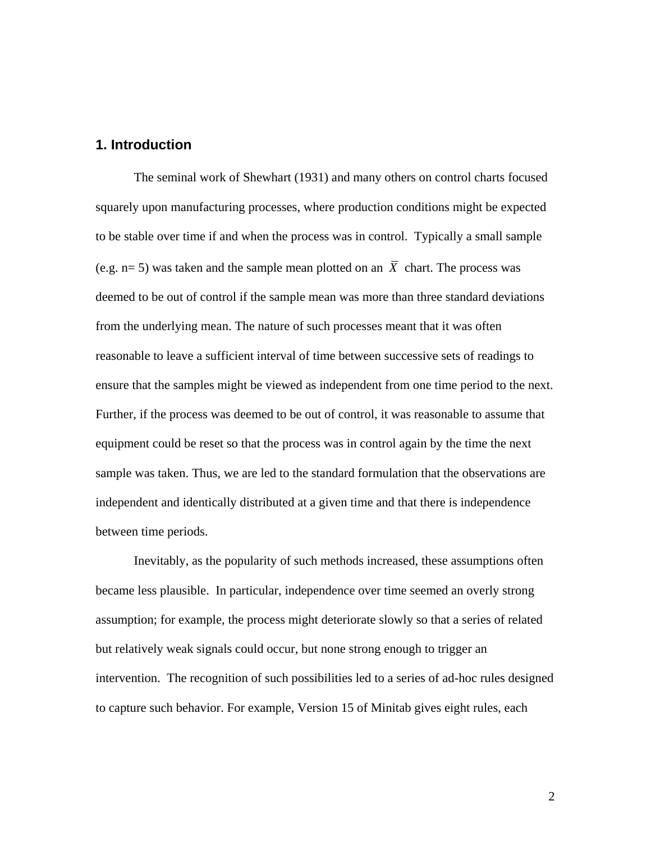#### **1. Introduction**

The seminal work of Shewhart (1931) and many others on control charts focused squarely upon manufacturing processes, where production conditions might be expected to be stable over time if and when the process was in control. Typically a small sample (e.g.  $n= 5$ ) was taken and the sample mean plotted on an  $\overline{X}$  chart. The process was deemed to be out of control if the sample mean was more than three standard deviations from the underlying mean. The nature of such processes meant that it was often reasonable to leave a sufficient interval of time between successive sets of readings to ensure that the samples might be viewed as independent from one time period to the next. Further, if the process was deemed to be out of control, it was reasonable to assume that equipment could be reset so that the process was in control again by the time the next sample was taken. Thus, we are led to the standard formulation that the observations are independent and identically distributed at a given time and that there is independence between time periods.

 Inevitably, as the popularity of such methods increased, these assumptions often became less plausible. In particular, independence over time seemed an overly strong assumption; for example, the process might deteriorate slowly so that a series of related but relatively weak signals could occur, but none strong enough to trigger an intervention. The recognition of such possibilities led to a series of ad-hoc rules designed to capture such behavior. For example, Version 15 of Minitab gives eight rules, each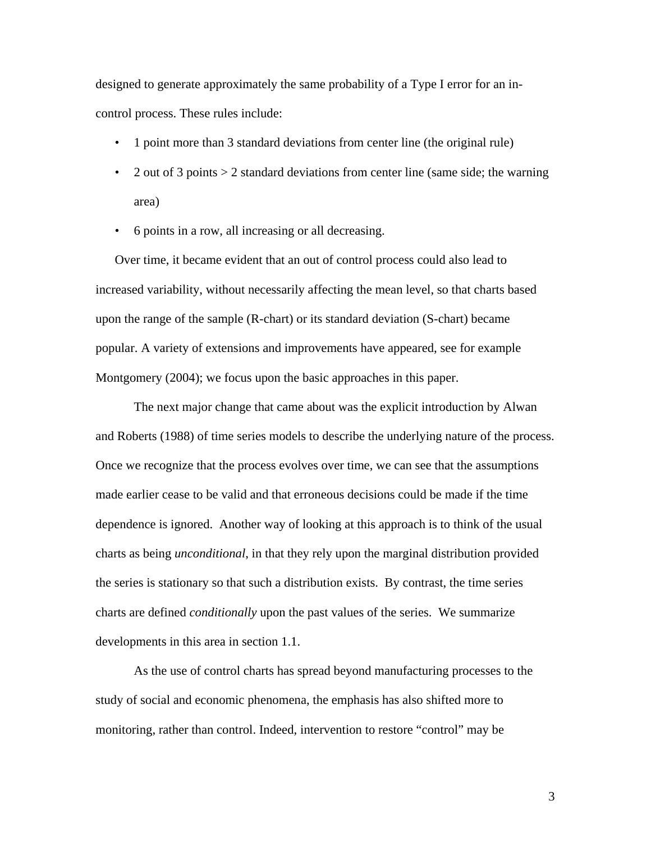designed to generate approximately the same probability of a Type I error for an incontrol process. These rules include:

- 1 point more than 3 standard deviations from center line (the original rule)
- 2 out of 3 points  $> 2$  standard deviations from center line (same side; the warning area)
- 6 points in a row, all increasing or all decreasing.

Over time, it became evident that an out of control process could also lead to increased variability, without necessarily affecting the mean level, so that charts based upon the range of the sample (R-chart) or its standard deviation (S-chart) became popular. A variety of extensions and improvements have appeared, see for example Montgomery (2004); we focus upon the basic approaches in this paper.

 The next major change that came about was the explicit introduction by Alwan and Roberts (1988) of time series models to describe the underlying nature of the process. Once we recognize that the process evolves over time, we can see that the assumptions made earlier cease to be valid and that erroneous decisions could be made if the time dependence is ignored. Another way of looking at this approach is to think of the usual charts as being *unconditional*, in that they rely upon the marginal distribution provided the series is stationary so that such a distribution exists. By contrast, the time series charts are defined *conditionally* upon the past values of the series. We summarize developments in this area in section 1.1.

As the use of control charts has spread beyond manufacturing processes to the study of social and economic phenomena, the emphasis has also shifted more to monitoring, rather than control. Indeed, intervention to restore "control" may be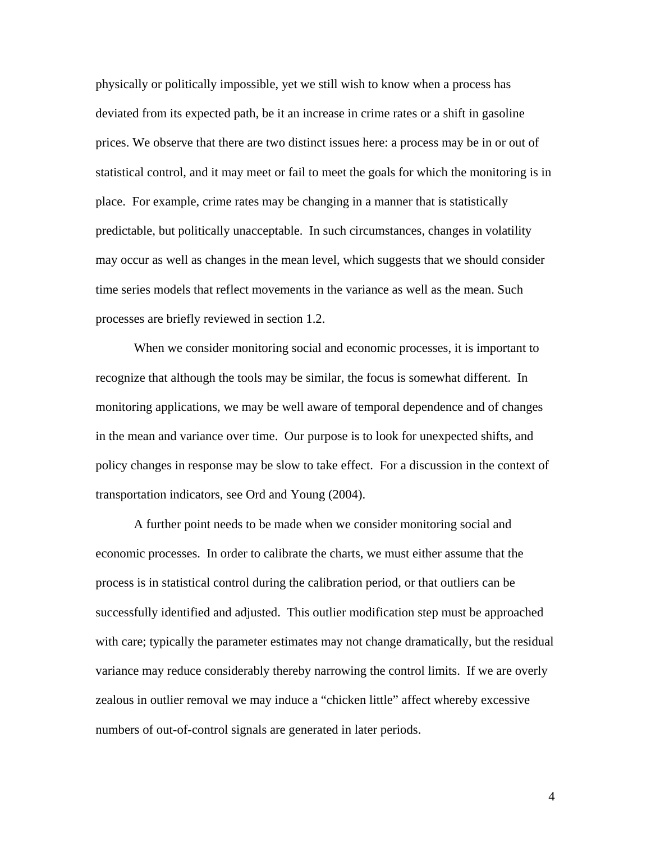physically or politically impossible, yet we still wish to know when a process has deviated from its expected path, be it an increase in crime rates or a shift in gasoline prices. We observe that there are two distinct issues here: a process may be in or out of statistical control, and it may meet or fail to meet the goals for which the monitoring is in place. For example, crime rates may be changing in a manner that is statistically predictable, but politically unacceptable. In such circumstances, changes in volatility may occur as well as changes in the mean level, which suggests that we should consider time series models that reflect movements in the variance as well as the mean. Such processes are briefly reviewed in section 1.2.

When we consider monitoring social and economic processes, it is important to recognize that although the tools may be similar, the focus is somewhat different. In monitoring applications, we may be well aware of temporal dependence and of changes in the mean and variance over time. Our purpose is to look for unexpected shifts, and policy changes in response may be slow to take effect. For a discussion in the context of transportation indicators, see Ord and Young (2004).

A further point needs to be made when we consider monitoring social and economic processes. In order to calibrate the charts, we must either assume that the process is in statistical control during the calibration period, or that outliers can be successfully identified and adjusted. This outlier modification step must be approached with care; typically the parameter estimates may not change dramatically, but the residual variance may reduce considerably thereby narrowing the control limits. If we are overly zealous in outlier removal we may induce a "chicken little" affect whereby excessive numbers of out-of-control signals are generated in later periods.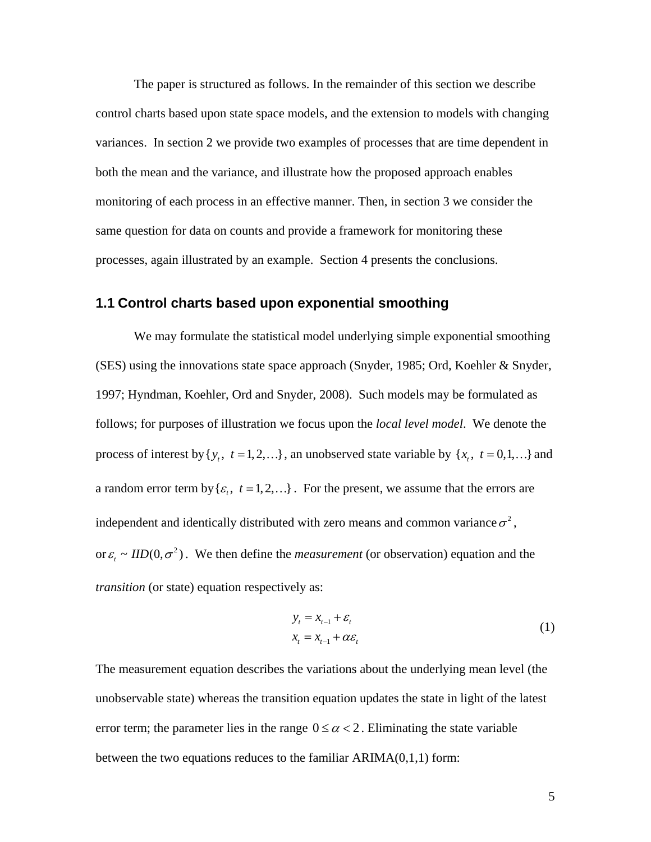The paper is structured as follows. In the remainder of this section we describe control charts based upon state space models, and the extension to models with changing variances. In section 2 we provide two examples of processes that are time dependent in both the mean and the variance, and illustrate how the proposed approach enables monitoring of each process in an effective manner. Then, in section 3 we consider the same question for data on counts and provide a framework for monitoring these processes, again illustrated by an example. Section 4 presents the conclusions.

#### **1.1 Control charts based upon exponential smoothing**

We may formulate the statistical model underlying simple exponential smoothing (SES) using the innovations state space approach (Snyder, 1985; Ord, Koehler & Snyder, 1997; Hyndman, Koehler, Ord and Snyder, 2008). Such models may be formulated as follows; for purposes of illustration we focus upon the *local level model*. We denote the process of interest by  $\{y_t, t = 1, 2, ...\}$ , an unobserved state variable by  $\{x_t, t = 0, 1, ...\}$  and a random error term by  $\{\varepsilon_t, t = 1, 2, ...\}$ . For the present, we assume that the errors are independent and identically distributed with zero means and common variance  $\sigma^2$ , or  $\varepsilon$ <sub>*t*</sub> ~ *IID*(0,  $\sigma$ <sup>2</sup>). We then define the *measurement* (or observation) equation and the *transition* (or state) equation respectively as:

$$
y_t = x_{t-1} + \varepsilon_t
$$
  

$$
x_t = x_{t-1} + \alpha \varepsilon_t
$$
 (1)

<span id="page-5-0"></span>The measurement equation describes the variations about the underlying mean level (the unobservable state) whereas the transition equation updates the state in light of the latest error term; the parameter lies in the range  $0 \le \alpha < 2$ . Eliminating the state variable between the two equations reduces to the familiar ARIMA(0,1,1) form: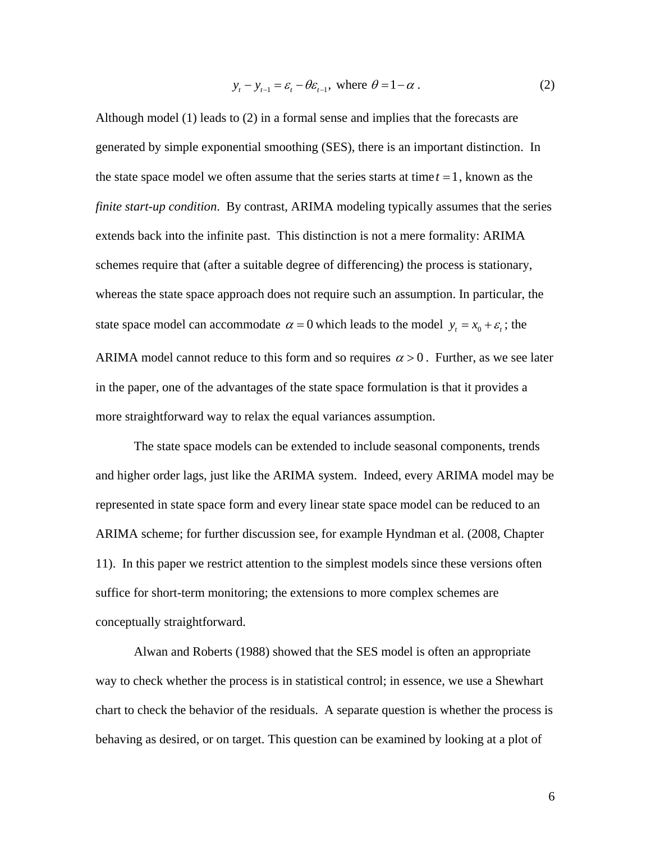$$
y_t - y_{t-1} = \varepsilon_t - \theta \varepsilon_{t-1}, \text{ where } \theta = 1 - \alpha. \tag{2}
$$

<span id="page-6-0"></span>Although model [\(1\)](#page-5-0) leads to [\(2\)](#page-6-0) in a formal sense and implies that the forecasts are generated by simple exponential smoothing (SES), there is an important distinction. In the state space model we often assume that the series starts at time  $t = 1$ , known as the *finite start-up condition.* By contrast, ARIMA modeling typically assumes that the series extends back into the infinite past. This distinction is not a mere formality: ARIMA schemes require that (after a suitable degree of differencing) the process is stationary, whereas the state space approach does not require such an assumption. In particular, the state space model can accommodate  $\alpha = 0$  which leads to the model  $y_t = x_0 + \varepsilon_t$ ; the ARIMA model cannot reduce to this form and so requires  $\alpha > 0$ . Further, as we see later in the paper, one of the advantages of the state space formulation is that it provides a more straightforward way to relax the equal variances assumption.

The state space models can be extended to include seasonal components, trends and higher order lags, just like the ARIMA system. Indeed, every ARIMA model may be represented in state space form and every linear state space model can be reduced to an ARIMA scheme; for further discussion see, for example Hyndman et al. (2008, Chapter 11). In this paper we restrict attention to the simplest models since these versions often suffice for short-term monitoring; the extensions to more complex schemes are conceptually straightforward.

 Alwan and Roberts (1988) showed that the SES model is often an appropriate way to check whether the process is in statistical control; in essence, we use a Shewhart chart to check the behavior of the residuals. A separate question is whether the process is behaving as desired, or on target. This question can be examined by looking at a plot of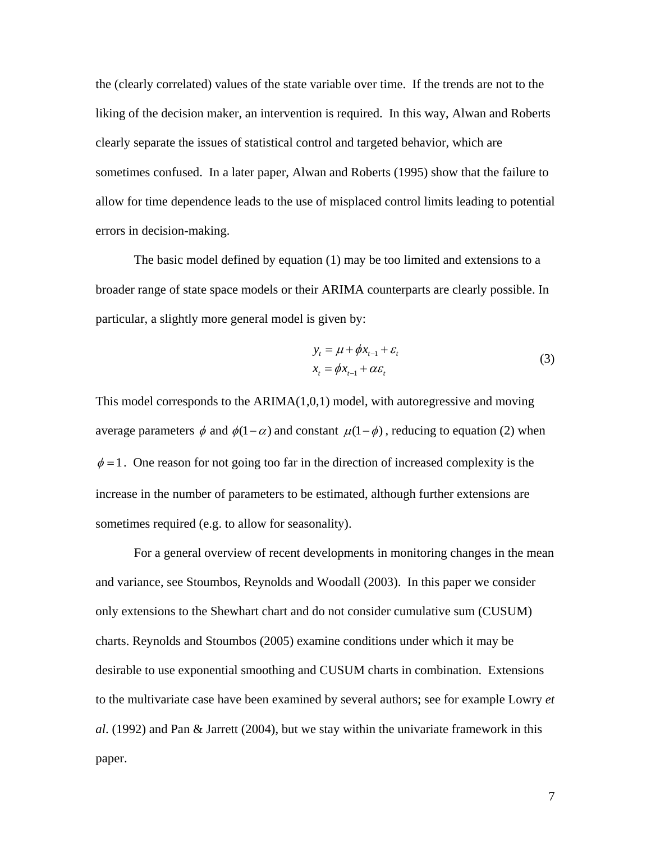the (clearly correlated) values of the state variable over time. If the trends are not to the liking of the decision maker, an intervention is required. In this way, Alwan and Roberts clearly separate the issues of statistical control and targeted behavior, which are sometimes confused. In a later paper, Alwan and Roberts (1995) show that the failure to allow for time dependence leads to the use of misplaced control limits leading to potential errors in decision-making.

 The basic model defined by equation [\(1\)](#page-5-0) may be too limited and extensions to a broader range of state space models or their ARIMA counterparts are clearly possible. In particular, a slightly more general model is given by:

$$
y_t = \mu + \phi x_{t-1} + \varepsilon_t
$$
  
\n
$$
x_t = \phi x_{t-1} + \alpha \varepsilon_t
$$
\n(3)

<span id="page-7-0"></span>This model corresponds to the  $ARIMA(1,0,1)$  model, with autoregressive and moving average parameters  $\phi$  and  $\phi(1 - \alpha)$  and constant  $\mu(1 - \phi)$ , reducing to equation [\(2\)](#page-6-0) when  $\phi = 1$ . One reason for not going too far in the direction of increased complexity is the increase in the number of parameters to be estimated, although further extensions are sometimes required (e.g. to allow for seasonality).

 For a general overview of recent developments in monitoring changes in the mean and variance, see Stoumbos, Reynolds and Woodall (2003). In this paper we consider only extensions to the Shewhart chart and do not consider cumulative sum (CUSUM) charts. Reynolds and Stoumbos (2005) examine conditions under which it may be desirable to use exponential smoothing and CUSUM charts in combination. Extensions to the multivariate case have been examined by several authors; see for example Lowry *et al*. (1992) and Pan & Jarrett (2004), but we stay within the univariate framework in this paper.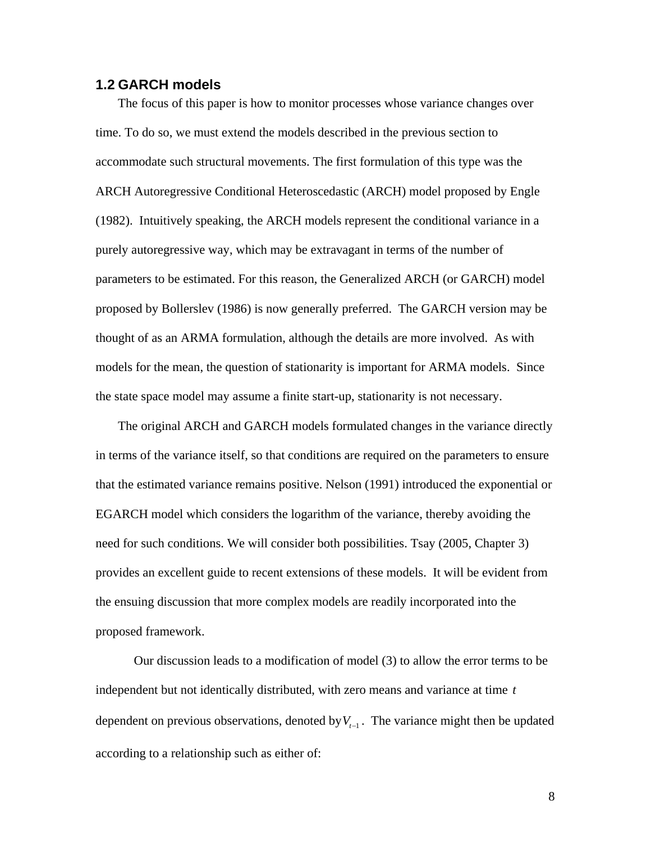#### **1.2 GARCH models**

The focus of this paper is how to monitor processes whose variance changes over time. To do so, we must extend the models described in the previous section to accommodate such structural movements. The first formulation of this type was the ARCH Autoregressive Conditional Heteroscedastic (ARCH) model proposed by Engle (1982). Intuitively speaking, the ARCH models represent the conditional variance in a purely autoregressive way, which may be extravagant in terms of the number of parameters to be estimated. For this reason, the Generalized ARCH (or GARCH) model proposed by Bollerslev (1986) is now generally preferred. The GARCH version may be thought of as an ARMA formulation, although the details are more involved. As with models for the mean, the question of stationarity is important for ARMA models. Since the state space model may assume a finite start-up, stationarity is not necessary.

The original ARCH and GARCH models formulated changes in the variance directly in terms of the variance itself, so that conditions are required on the parameters to ensure that the estimated variance remains positive. Nelson (1991) introduced the exponential or EGARCH model which considers the logarithm of the variance, thereby avoiding the need for such conditions. We will consider both possibilities. Tsay (2005, Chapter 3) provides an excellent guide to recent extensions of these models. It will be evident from the ensuing discussion that more complex models are readily incorporated into the proposed framework.

 Our discussion leads to a modification of model [\(3\)](#page-7-0) to allow the error terms to be independent but not identically distributed, with zero means and variance at time *t* dependent on previous observations, denoted by  $V_{t-1}$ . The variance might then be updated according to a relationship such as either of: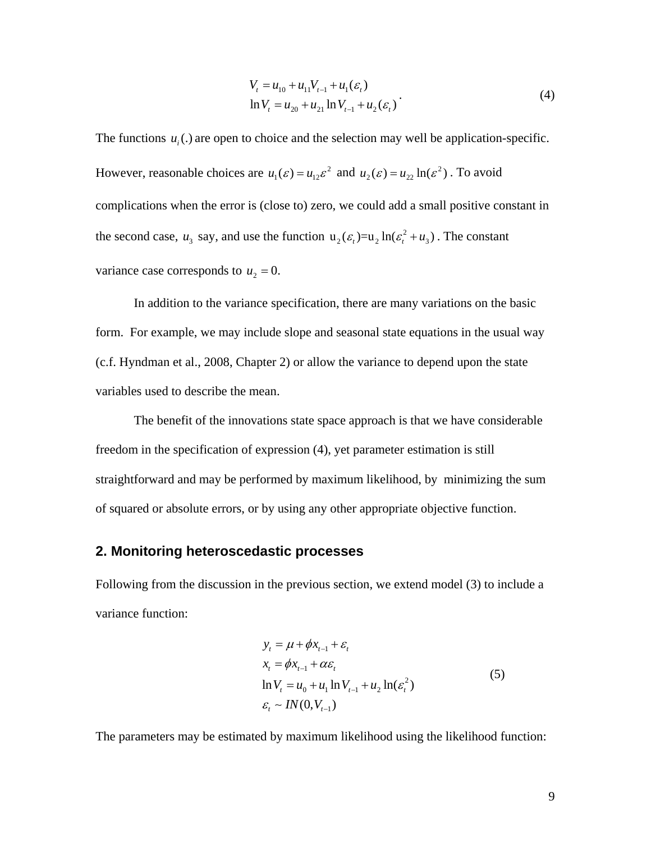$$
V_{t} = u_{10} + u_{11}V_{t-1} + u_{1}(\varepsilon_{t})
$$
  
\n
$$
\ln V_{t} = u_{20} + u_{21} \ln V_{t-1} + u_{2}(\varepsilon_{t})
$$
\n(4)

<span id="page-9-0"></span>The functions  $u_i(.)$  are open to choice and the selection may well be application-specific. However, reasonable choices are  $u_1(\varepsilon) = u_{12} \varepsilon^2$  and  $u_2(\varepsilon) = u_{22} \ln(\varepsilon^2)$ . To avoid complications when the error is (close to) zero, we could add a small positive constant in the second case,  $u_3$  say, and use the function  $u_2(\varepsilon_t) = u_2 \ln(\varepsilon_t^2 + u_3)$ . The constant variance case corresponds to  $u_2 = 0$ .

In addition to the variance specification, there are many variations on the basic form. For example, we may include slope and seasonal state equations in the usual way (c.f. Hyndman et al., 2008, Chapter 2) or allow the variance to depend upon the state variables used to describe the mean.

 The benefit of the innovations state space approach is that we have considerable freedom in the specification of expression [\(4\),](#page-9-0) yet parameter estimation is still straightforward and may be performed by maximum likelihood, by minimizing the sum of squared or absolute errors, or by using any other appropriate objective function.

# **2. Monitoring heteroscedastic processes**

<span id="page-9-1"></span>Following from the discussion in the previous section, we extend model [\(3\)](#page-7-0) to include a variance function:

$$
y_{t} = \mu + \phi x_{t-1} + \varepsilon_{t}
$$
  
\n
$$
x_{t} = \phi x_{t-1} + \alpha \varepsilon_{t}
$$
  
\n
$$
\ln V_{t} = u_{0} + u_{1} \ln V_{t-1} + u_{2} \ln(\varepsilon_{t}^{2})
$$
  
\n
$$
\varepsilon_{t} \sim IN(0, V_{t-1})
$$
\n(5)

The parameters may be estimated by maximum likelihood using the likelihood function: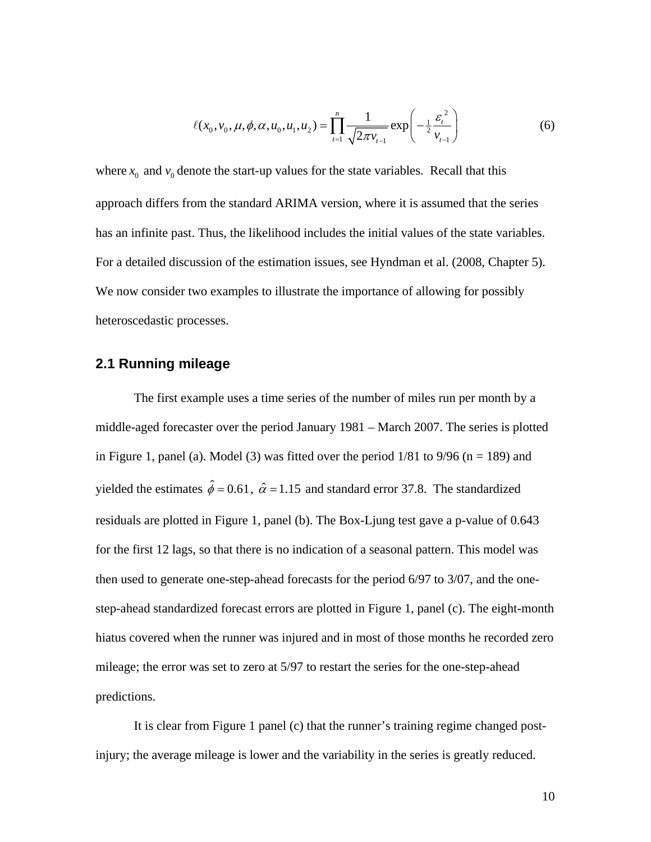$$
\ell(x_0, v_0, \mu, \phi, \alpha, u_0, u_1, u_2) = \prod_{t=1}^n \frac{1}{\sqrt{2\pi v_{t-1}}} \exp\left(-\frac{1}{2} \frac{\varepsilon_t^2}{v_{t-1}}\right)
$$
(6)

<span id="page-10-0"></span>where  $x_0$  and  $v_0$  denote the start-up values for the state variables. Recall that this approach differs from the standard ARIMA version, where it is assumed that the series has an infinite past. Thus, the likelihood includes the initial values of the state variables. For a detailed discussion of the estimation issues, see Hyndman et al. (2008, Chapter 5). We now consider two examples to illustrate the importance of allowing for possibly heteroscedastic processes.

#### **2.1 Running mileage**

The first example uses a time series of the number of miles run per month by a middle-aged forecaster over the period January 1981 – March 2007. The series is plotted in Figure 1, panel (a). Model [\(3\)](#page-7-0) was fitted over the period  $1/81$  to  $9/96$  (n = 189) and yielded the estimates  $\hat{\phi} = 0.61$ ,  $\hat{\alpha} = 1.15$  and standard error 37.8. The standardized residuals are plotted in Figure 1, panel (b). The Box-Ljung test gave a p-value of 0.643 for the first 12 lags, so that there is no indication of a seasonal pattern. This model was then used to generate one-step-ahead forecasts for the period 6/97 to 3/07, and the onestep-ahead standardized forecast errors are plotted in Figure 1, panel (c). The eight-month hiatus covered when the runner was injured and in most of those months he recorded zero mileage; the error was set to zero at 5/97 to restart the series for the one-step-ahead predictions.

It is clear from Figure 1 panel (c) that the runner's training regime changed postinjury; the average mileage is lower and the variability in the series is greatly reduced.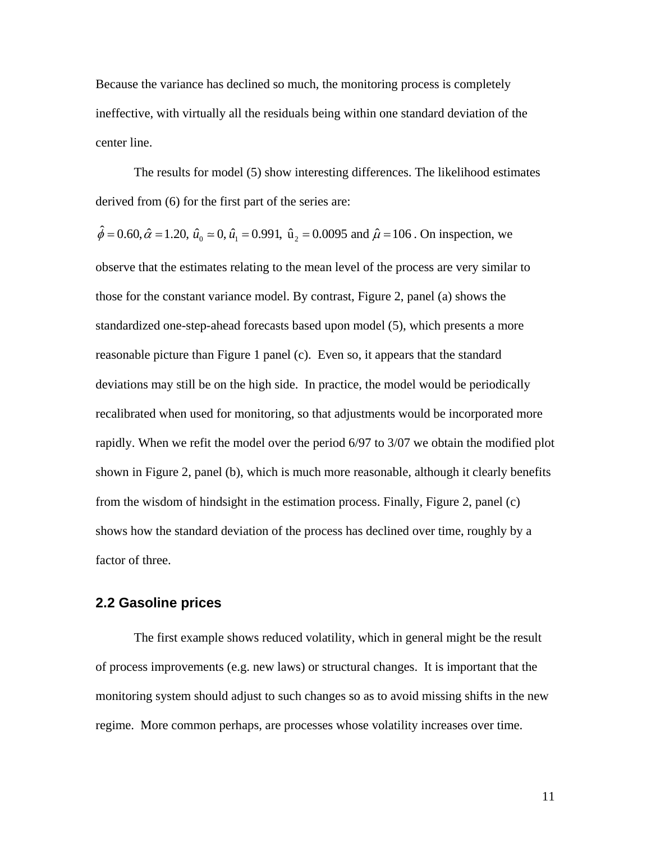Because the variance has declined so much, the monitoring process is completely ineffective, with virtually all the residuals being within one standard deviation of the center line.

The results for model [\(5\)](#page-9-1) show interesting differences. The likelihood estimates derived from [\(6\)](#page-10-0) for the first part of the series are:

 $\hat{\phi} = 0.60, \hat{\alpha} = 1.20, \hat{u}_0 \approx 0, \hat{u}_1 = 0.991, \hat{u}_2 = 0.0095$  and  $\hat{\mu} = 106$ . On inspection, we observe that the estimates relating to the mean level of the process are very similar to those for the constant variance model. By contrast, Figure 2, panel (a) shows the standardized one-step-ahead forecasts based upon model [\(5\)](#page-9-1), which presents a more reasonable picture than Figure 1 panel (c). Even so, it appears that the standard deviations may still be on the high side. In practice, the model would be periodically recalibrated when used for monitoring, so that adjustments would be incorporated more rapidly. When we refit the model over the period 6/97 to 3/07 we obtain the modified plot shown in Figure 2, panel (b), which is much more reasonable, although it clearly benefits from the wisdom of hindsight in the estimation process. Finally, Figure 2, panel (c) shows how the standard deviation of the process has declined over time, roughly by a factor of three.

#### **2.2 Gasoline prices**

 The first example shows reduced volatility, which in general might be the result of process improvements (e.g. new laws) or structural changes. It is important that the monitoring system should adjust to such changes so as to avoid missing shifts in the new regime. More common perhaps, are processes whose volatility increases over time.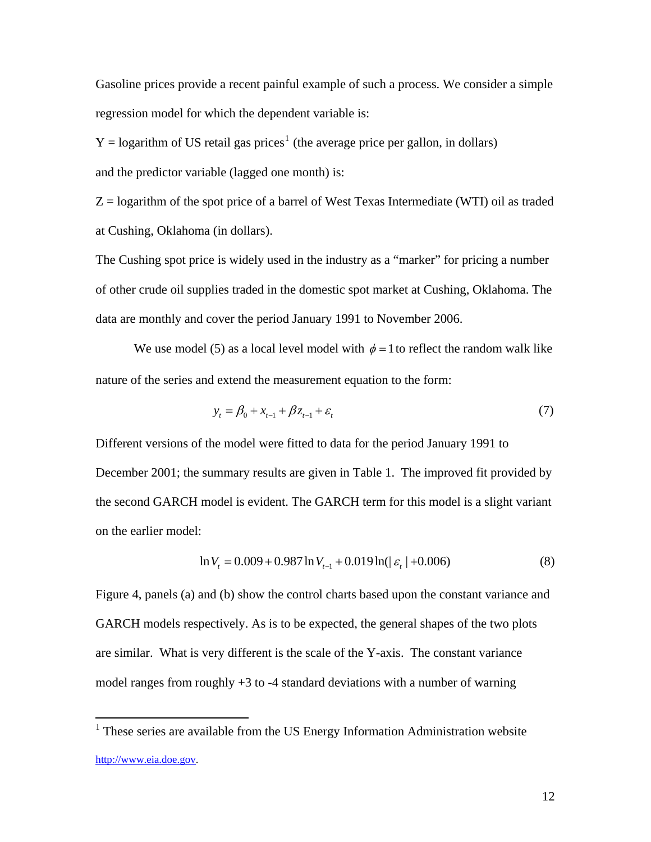Gasoline prices provide a recent painful example of such a process. We consider a simple regression model for which the dependent variable is:

 $Y =$ logarithm of US retail gas prices<sup>[1](#page-12-0)</sup> (the average price per gallon, in dollars)

and the predictor variable (lagged one month) is:

 $Z =$  logarithm of the spot price of a barrel of West Texas Intermediate (WTI) oil as traded at Cushing, Oklahoma (in dollars).

The Cushing spot price is widely used in the industry as a "marker" for pricing a number of other crude oil supplies traded in the domestic spot market at Cushing, Oklahoma. The data are monthly and cover the period January 1991 to November 2006.

We use model [\(5\)](#page-9-1) as a local level model with  $\phi = 1$  to reflect the random walk like nature of the series and extend the measurement equation to the form:

$$
y_t = \beta_0 + x_{t-1} + \beta z_{t-1} + \varepsilon_t \tag{7}
$$

Different versions of the model were fitted to data for the period January 1991 to December 2001; the summary results are given in Table 1. The improved fit provided by the second GARCH model is evident. The GARCH term for this model is a slight variant on the earlier model:

$$
\ln V_t = 0.009 + 0.987 \ln V_{t-1} + 0.019 \ln(|\varepsilon_t| + 0.006)
$$
 (8)

Figure 4, panels (a) and (b) show the control charts based upon the constant variance and GARCH models respectively. As is to be expected, the general shapes of the two plots are similar. What is very different is the scale of the Y-axis. The constant variance model ranges from roughly  $+3$  to  $-4$  standard deviations with a number of warning

 $\overline{a}$ 

<span id="page-12-0"></span><sup>&</sup>lt;sup>1</sup> These series are available from the US Energy Information Administration website [http://www.eia.doe.gov](http://www.eia.doe.gov/).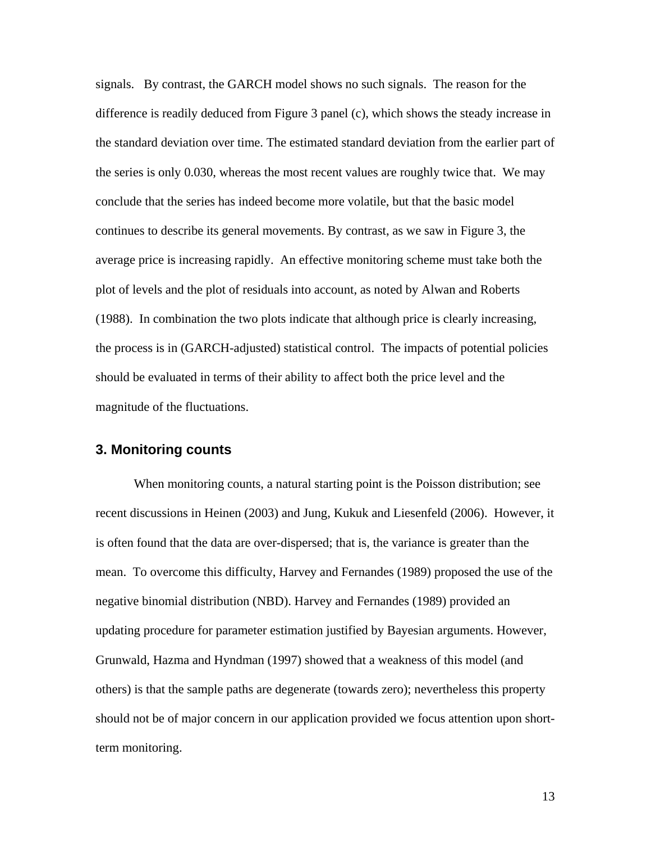signals. By contrast, the GARCH model shows no such signals. The reason for the difference is readily deduced from Figure 3 panel (c), which shows the steady increase in the standard deviation over time. The estimated standard deviation from the earlier part of the series is only 0.030, whereas the most recent values are roughly twice that. We may conclude that the series has indeed become more volatile, but that the basic model continues to describe its general movements. By contrast, as we saw in Figure 3, the average price is increasing rapidly. An effective monitoring scheme must take both the plot of levels and the plot of residuals into account, as noted by Alwan and Roberts (1988). In combination the two plots indicate that although price is clearly increasing, the process is in (GARCH-adjusted) statistical control. The impacts of potential policies should be evaluated in terms of their ability to affect both the price level and the magnitude of the fluctuations.

#### **3. Monitoring counts**

 When monitoring counts, a natural starting point is the Poisson distribution; see recent discussions in Heinen (2003) and Jung, Kukuk and Liesenfeld (2006). However, it is often found that the data are over-dispersed; that is, the variance is greater than the mean. To overcome this difficulty, Harvey and Fernandes (1989) proposed the use of the negative binomial distribution (NBD). Harvey and Fernandes (1989) provided an updating procedure for parameter estimation justified by Bayesian arguments. However, Grunwald, Hazma and Hyndman (1997) showed that a weakness of this model (and others) is that the sample paths are degenerate (towards zero); nevertheless this property should not be of major concern in our application provided we focus attention upon shortterm monitoring.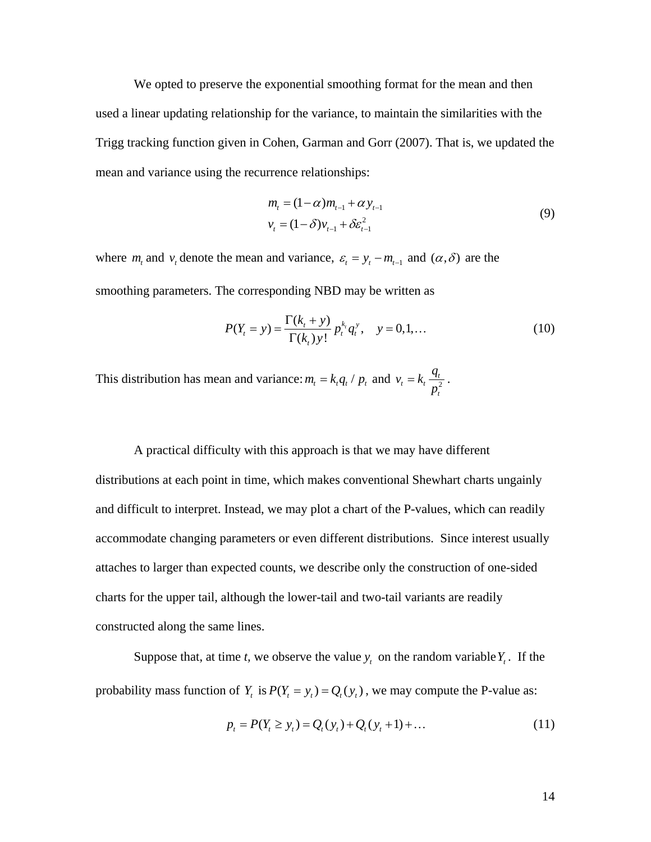We opted to preserve the exponential smoothing format for the mean and then used a linear updating relationship for the variance, to maintain the similarities with the Trigg tracking function given in Cohen, Garman and Gorr (2007). That is, we updated the mean and variance using the recurrence relationships:

$$
m_{t} = (1 - \alpha)m_{t-1} + \alpha y_{t-1}
$$
  
\n
$$
v_{t} = (1 - \delta)v_{t-1} + \delta \varepsilon_{t-1}^{2}
$$
\n(9)

<span id="page-14-0"></span>where  $m_t$  and  $v_t$  denote the mean and variance,  $\varepsilon_t = y_t - m_{t-1}$  and  $(\alpha, \delta)$  are the smoothing parameters. The corresponding NBD may be written as

$$
P(Y_t = y) = \frac{\Gamma(k_t + y)}{\Gamma(k_t) y!} p_t^{k_t} q_t^y, \quad y = 0, 1, ... \tag{10}
$$

This distribution has mean and variance:  $m_t = k_t q_t / p_t$  and  $v_t = k_t \frac{q_t}{r^2}$ *t*  $v_t = k_t \frac{q_t}{p_t^2}$ .

A practical difficulty with this approach is that we may have different distributions at each point in time, which makes conventional Shewhart charts ungainly and difficult to interpret. Instead, we may plot a chart of the P-values, which can readily accommodate changing parameters or even different distributions. Since interest usually attaches to larger than expected counts, we describe only the construction of one-sided charts for the upper tail, although the lower-tail and two-tail variants are readily constructed along the same lines.

Suppose that, at time *t*, we observe the value  $y_t$  on the random variable  $Y_t$ . If the probability mass function of  $Y_t$  is  $P(Y_t = y_t) = Q_t(y_t)$ , we may compute the P-value as:

$$
p_t = P(Y_t \ge y_t) = Q_t(y_t) + Q_t(y_t + 1) + \dots
$$
\n(11)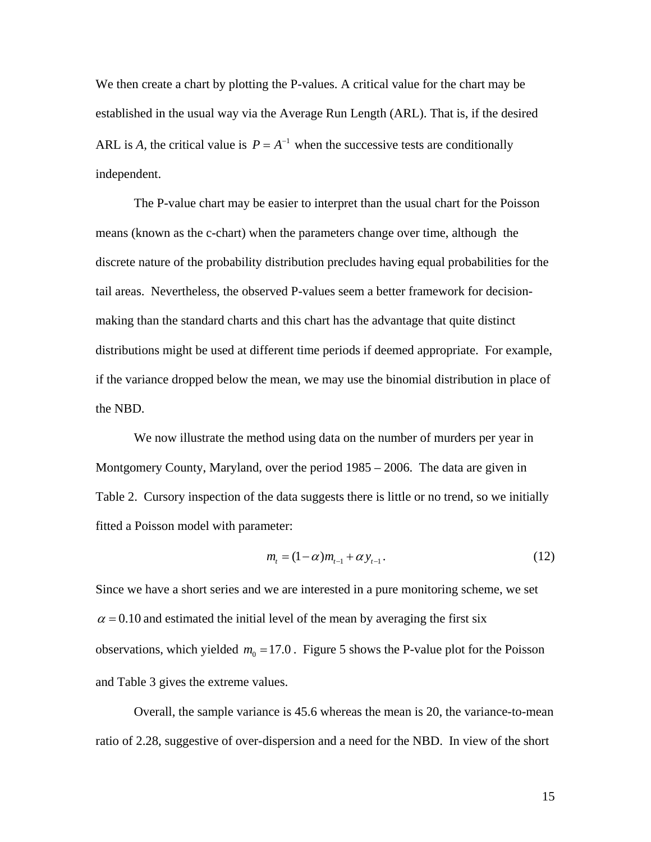We then create a chart by plotting the P-values. A critical value for the chart may be established in the usual way via the Average Run Length (ARL). That is, if the desired ARL is *A*, the critical value is  $P = A^{-1}$  when the successive tests are conditionally independent.

 The P-value chart may be easier to interpret than the usual chart for the Poisson means (known as the c-chart) when the parameters change over time, although the discrete nature of the probability distribution precludes having equal probabilities for the tail areas. Nevertheless, the observed P-values seem a better framework for decisionmaking than the standard charts and this chart has the advantage that quite distinct distributions might be used at different time periods if deemed appropriate. For example, if the variance dropped below the mean, we may use the binomial distribution in place of the NBD.

We now illustrate the method using data on the number of murders per year in Montgomery County, Maryland, over the period 1985 – 2006. The data are given in Table 2. Cursory inspection of the data suggests there is little or no trend, so we initially fitted a Poisson model with parameter:

$$
m_{t} = (1 - \alpha)m_{t-1} + \alpha y_{t-1}.
$$
 (12)

Since we have a short series and we are interested in a pure monitoring scheme, we set  $\alpha$  = 0.10 and estimated the initial level of the mean by averaging the first six observations, which yielded  $m_0 = 17.0$ . Figure 5 shows the P-value plot for the Poisson and Table 3 gives the extreme values.

 Overall, the sample variance is 45.6 whereas the mean is 20, the variance-to-mean ratio of 2.28, suggestive of over-dispersion and a need for the NBD. In view of the short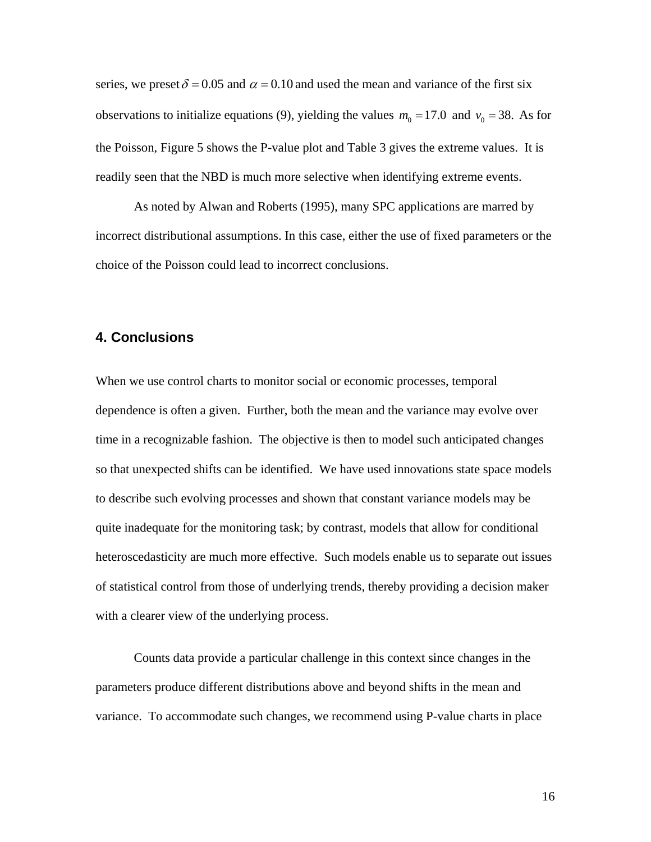series, we preset  $\delta = 0.05$  and  $\alpha = 0.10$  and used the mean and variance of the first six observations to initialize equations [\(9\),](#page-14-0) yielding the values  $m_0 = 17.0$  and  $v_0 = 38$ . As for the Poisson, Figure 5 shows the P-value plot and Table 3 gives the extreme values. It is readily seen that the NBD is much more selective when identifying extreme events.

As noted by Alwan and Roberts (1995), many SPC applications are marred by incorrect distributional assumptions. In this case, either the use of fixed parameters or the choice of the Poisson could lead to incorrect conclusions.

### **4. Conclusions**

When we use control charts to monitor social or economic processes, temporal dependence is often a given. Further, both the mean and the variance may evolve over time in a recognizable fashion. The objective is then to model such anticipated changes so that unexpected shifts can be identified. We have used innovations state space models to describe such evolving processes and shown that constant variance models may be quite inadequate for the monitoring task; by contrast, models that allow for conditional heteroscedasticity are much more effective. Such models enable us to separate out issues of statistical control from those of underlying trends, thereby providing a decision maker with a clearer view of the underlying process.

 Counts data provide a particular challenge in this context since changes in the parameters produce different distributions above and beyond shifts in the mean and variance. To accommodate such changes, we recommend using P-value charts in place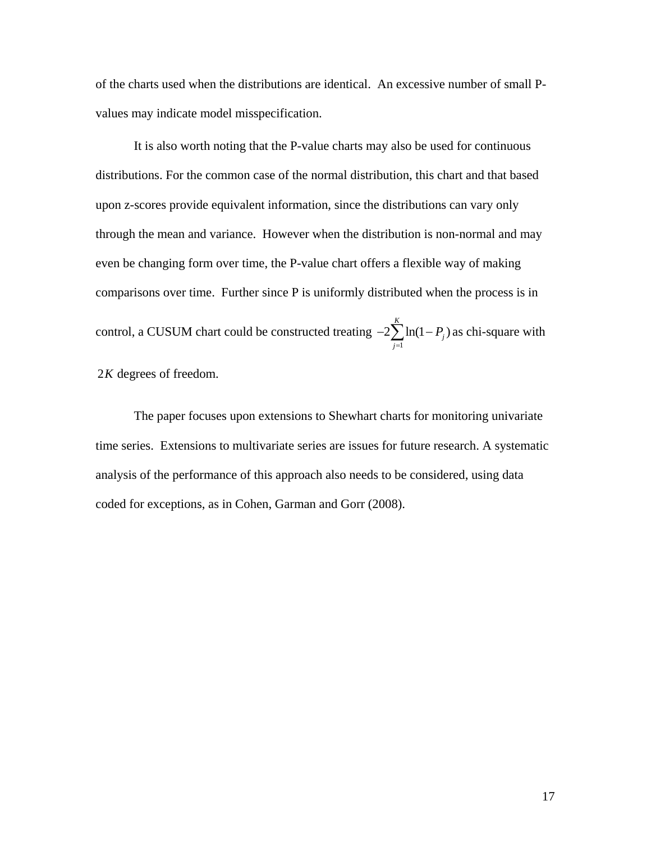of the charts used when the distributions are identical. An excessive number of small Pvalues may indicate model misspecification.

 It is also worth noting that the P-value charts may also be used for continuous distributions. For the common case of the normal distribution, this chart and that based upon z-scores provide equivalent information, since the distributions can vary only through the mean and variance. However when the distribution is non-normal and may even be changing form over time, the P-value chart offers a flexible way of making comparisons over time. Further since P is uniformly distributed when the process is in control, a CUSUM chart could be constructed treating  $-2\sum \ln(1-P_i)$  as chi-square with 1  $2\sum ln(1$ *K j j P*  $-2\sum_{j=1}^{\infty} \ln(1-P_j)$ 

2*K* degrees of freedom.

The paper focuses upon extensions to Shewhart charts for monitoring univariate time series. Extensions to multivariate series are issues for future research. A systematic analysis of the performance of this approach also needs to be considered, using data coded for exceptions, as in Cohen, Garman and Gorr (2008).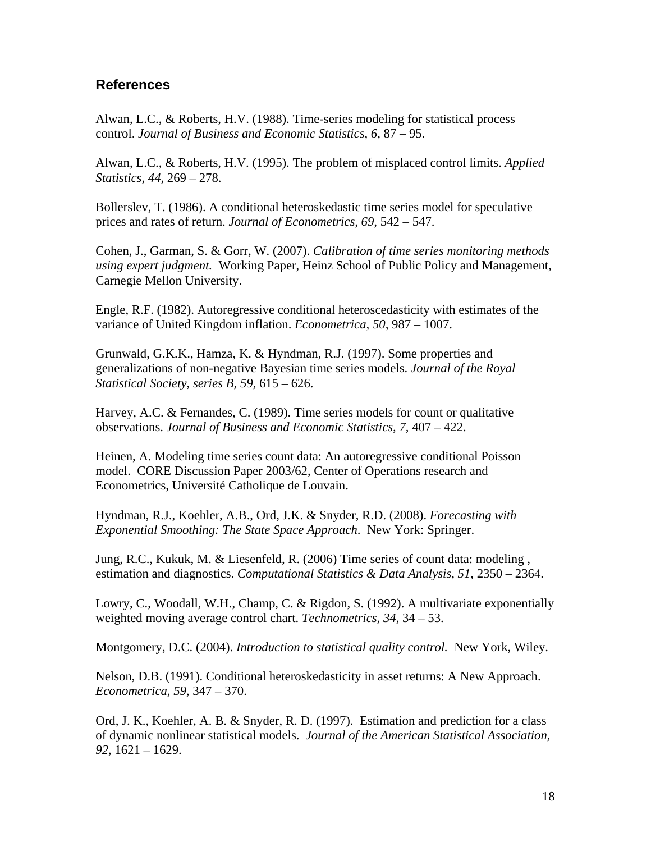# **References**

Alwan, L.C., & Roberts, H.V. (1988). Time-series modeling for statistical process control. *Journal of Business and Economic Statistics, 6,* 87 – 95.

Alwan, L.C., & Roberts, H.V. (1995). The problem of misplaced control limits. *Applied Statistics, 44,* 269 – 278.

Bollerslev, T. (1986). A conditional heteroskedastic time series model for speculative prices and rates of return. *Journal of Econometrics, 69,* 542 – 547.

Cohen, J., Garman, S. & Gorr, W. (2007). *Calibration of time series monitoring methods using expert judgment.* Working Paper, Heinz School of Public Policy and Management, Carnegie Mellon University.

Engle, R.F. (1982). Autoregressive conditional heteroscedasticity with estimates of the variance of United Kingdom inflation. *Econometrica, 50,* 987 – 1007.

Grunwald, G.K.K., Hamza, K. & Hyndman, R.J. (1997). Some properties and generalizations of non-negative Bayesian time series models. *Journal of the Royal Statistical Society, series B, 59,* 615 – 626.

Harvey, A.C. & Fernandes, C. (1989). Time series models for count or qualitative observations. *Journal of Business and Economic Statistics, 7,* 407 – 422.

Heinen, A. Modeling time series count data: An autoregressive conditional Poisson model. CORE Discussion Paper 2003/62, Center of Operations research and Econometrics, Université Catholique de Louvain.

Hyndman, R.J., Koehler, A.B., Ord, J.K. & Snyder, R.D. (2008). *Forecasting with Exponential Smoothing: The State Space Approach*. New York: Springer.

Jung, R.C., Kukuk, M. & Liesenfeld, R. (2006) Time series of count data: modeling , estimation and diagnostics. *Computational Statistics & Data Analysis, 51,* 2350 – 2364.

Lowry, C., Woodall, W.H., Champ, C. & Rigdon, S. (1992). A multivariate exponentially weighted moving average control chart. *Technometrics, 34,* 34 – 53.

Montgomery, D.C. (2004). *Introduction to statistical quality control.* New York, Wiley.

Nelson, D.B. (1991). Conditional heteroskedasticity in asset returns: A New Approach. *Econometrica, 59,* 347 – 370.

Ord, J. K., Koehler, A. B. & Snyder, R. D. (1997). Estimation and prediction for a class of dynamic nonlinear statistical models. *Journal of the American Statistical Association, 92,* 1621 – 1629.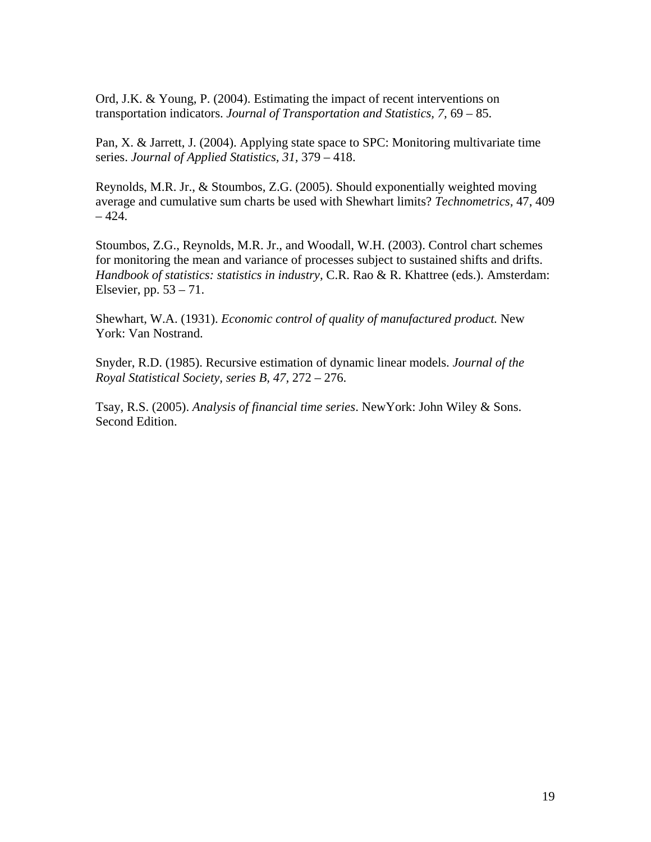Ord, J.K. & Young, P. (2004). Estimating the impact of recent interventions on transportation indicators. *Journal of Transportation and Statistics, 7,* 69 – 85.

Pan, X. & Jarrett, J. (2004). Applying state space to SPC: Monitoring multivariate time series. *Journal of Applied Statistics, 31,* 379 – 418.

Reynolds, M.R. Jr., & Stoumbos, Z.G. (2005). Should exponentially weighted moving average and cumulative sum charts be used with Shewhart limits? *Technometrics,* 47, 409  $-424.$ 

Stoumbos, Z.G., Reynolds, M.R. Jr., and Woodall, W.H. (2003). Control chart schemes for monitoring the mean and variance of processes subject to sustained shifts and drifts. *Handbook of statistics: statistics in industry,* C.R. Rao & R. Khattree (eds.). Amsterdam: Elsevier, pp.  $53 - 71$ .

Shewhart, W.A. (1931). *Economic control of quality of manufactured product.* New York: Van Nostrand.

Snyder, R.D. (1985). Recursive estimation of dynamic linear models. *Journal of the Royal Statistical Society, series B, 47,* 272 – 276.

Tsay, R.S. (2005). *Analysis of financial time series*. NewYork: John Wiley & Sons. Second Edition.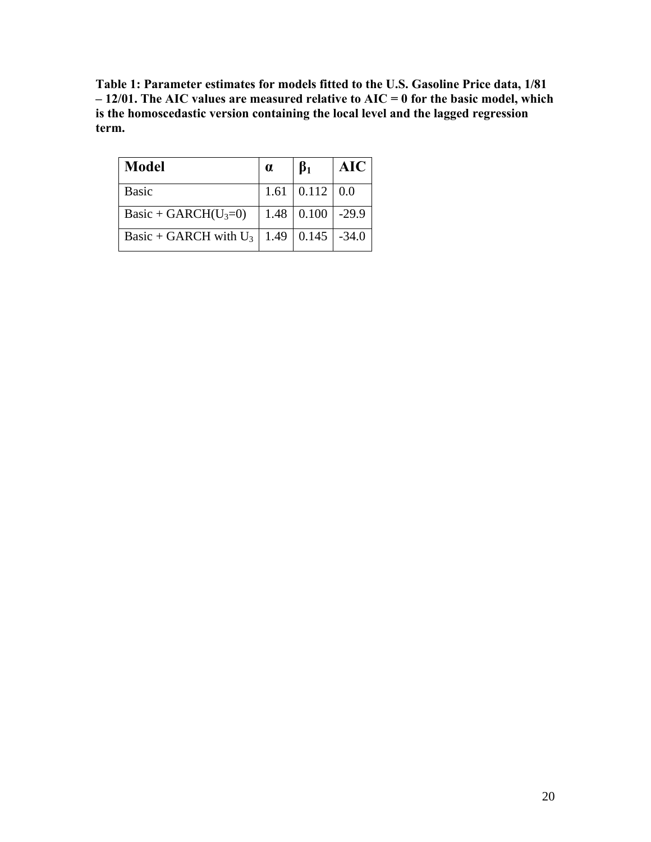**Table 1: Parameter estimates for models fitted to the U.S. Gasoline Price data, 1/81 – 12/01. The AIC values are measured relative to AIC = 0 for the basic model, which is the homoscedastic version containing the local level and the lagged regression term.** 

| <b>Model</b>             | $\alpha$ | $\beta_1$                  | <b>AIC</b> |
|--------------------------|----------|----------------------------|------------|
| <b>Basic</b>             |          | $1.61 \mid 0.112 \mid 0.0$ |            |
| Basic + GARCH $(U_3=0)$  |          | $1.48 \mid 0.100 \mid$     | $-29.9$    |
| Basic + GARCH with $U_3$ |          | $1.49 \mid 0.145 \mid$     | $-34.0$    |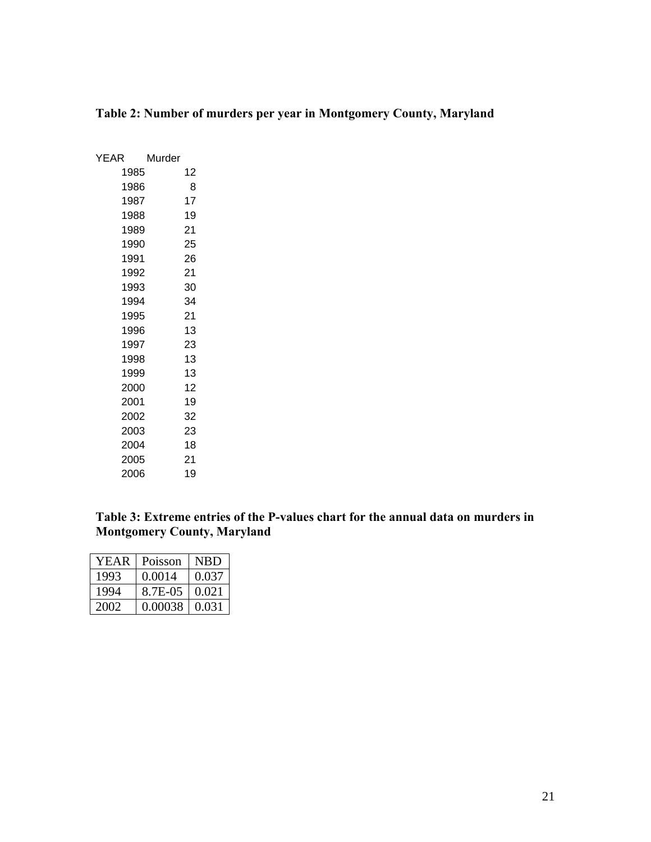| <b>YEAR</b> | Murder |    |
|-------------|--------|----|
| 1985        |        | 12 |
| 1986        |        | 8  |
| 1987        |        | 17 |
| 1988        |        | 19 |
| 1989        |        | 21 |
| 1990        |        | 25 |
| 1991        |        | 26 |
| 1992        |        | 21 |
| 1993        |        | 30 |
| 1994        |        | 34 |
| 1995        |        | 21 |
| 1996        |        | 13 |
| 1997        |        | 23 |
| 1998        |        | 13 |
| 1999        |        | 13 |
| 2000        |        | 12 |
| 2001        |        | 19 |
| 2002        |        | 32 |
| 2003        |        | 23 |
| 2004        |        | 18 |
| 2005        |        | 21 |
| 2006        |        | 19 |

# **Table 2: Number of murders per year in Montgomery County, Maryland**

**Table 3: Extreme entries of the P-values chart for the annual data on murders in Montgomery County, Maryland** 

| YEAR | Poisson | <b>NBD</b> |
|------|---------|------------|
| 1993 | 0.0014  | 0.037      |
| 1994 | 8.7E-05 | 0.021      |
| 2002 | 0.00038 | 0.031      |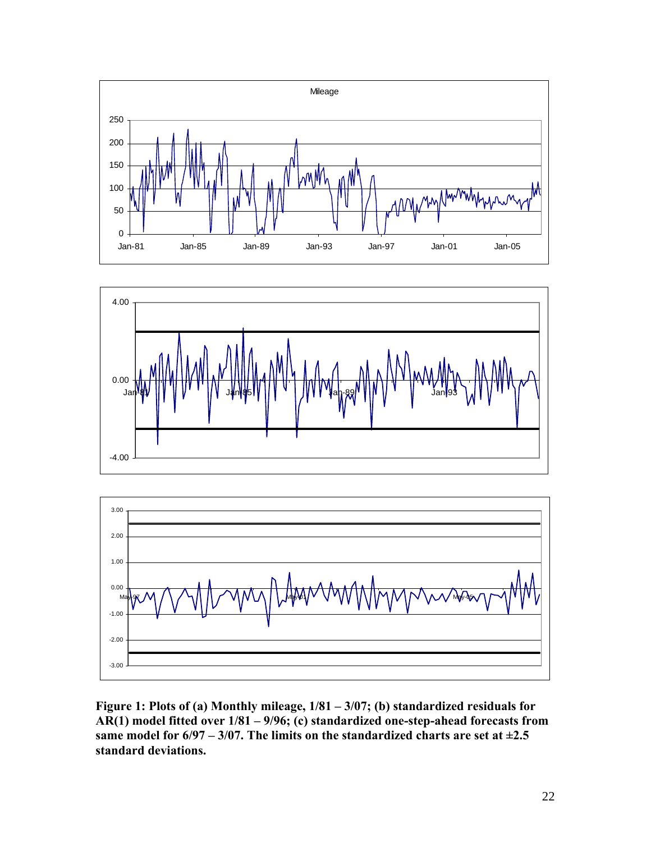





**Figure 1: Plots of (a) Monthly mileage, 1/81 – 3/07; (b) standardized residuals for AR(1) model fitted over 1/81 – 9/96; (c) standardized one-step-ahead forecasts from**  same model for  $6/97 - 3/07$ . The limits on the standardized charts are set at  $\pm 2.5$ **standard deviations.**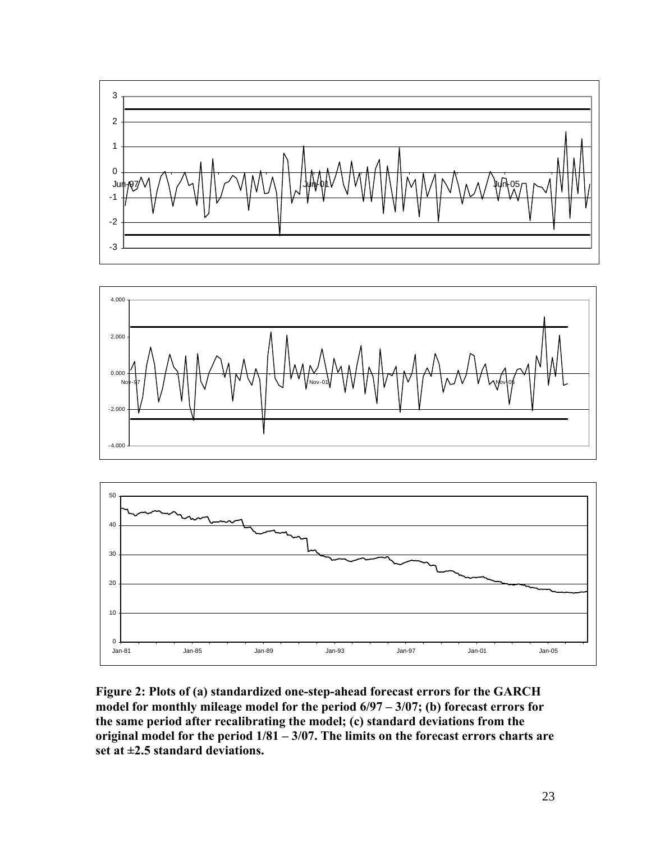





**Figure 2: Plots of (a) standardized one-step-ahead forecast errors for the GARCH model for monthly mileage model for the period 6/97 – 3/07; (b) forecast errors for the same period after recalibrating the model; (c) standard deviations from the original model for the period 1/81 – 3/07. The limits on the forecast errors charts are set at ±2.5 standard deviations.**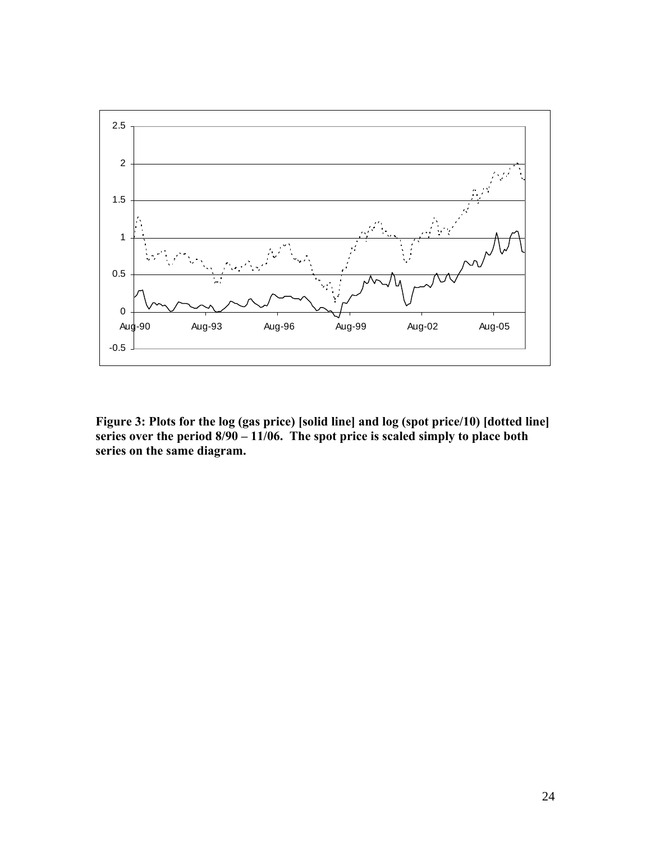

**Figure 3: Plots for the log (gas price) [solid line] and log (spot price/10) [dotted line]**  series over the period 8/90 – 11/06. The spot price is scaled simply to place both **series on the same diagram.**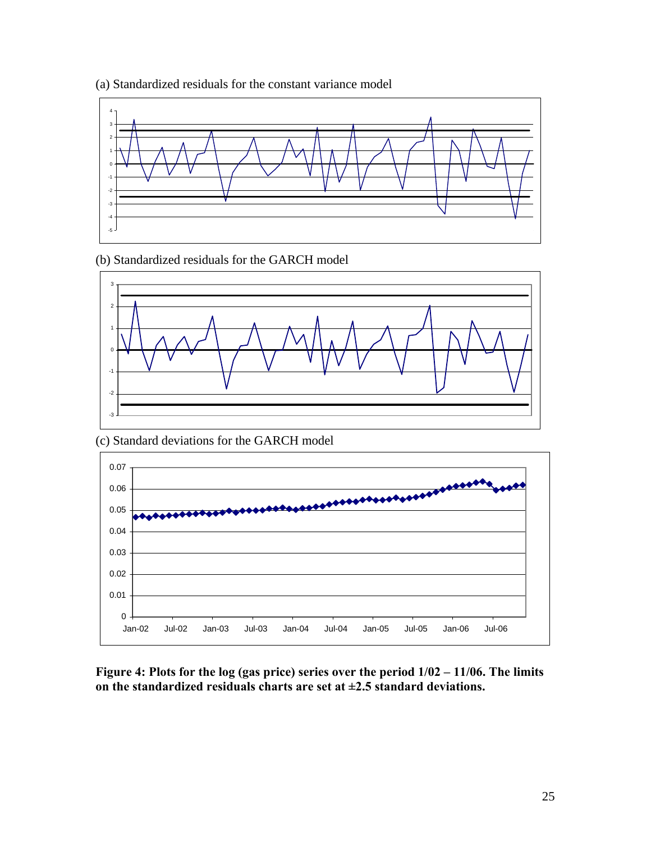

(a) Standardized residuals for the constant variance model

(b) Standardized residuals for the GARCH model



(c) Standard deviations for the GARCH model



**Figure 4: Plots for the log (gas price) series over the period 1/02 – 11/06. The limits on the standardized residuals charts are set at ±2.5 standard deviations.**